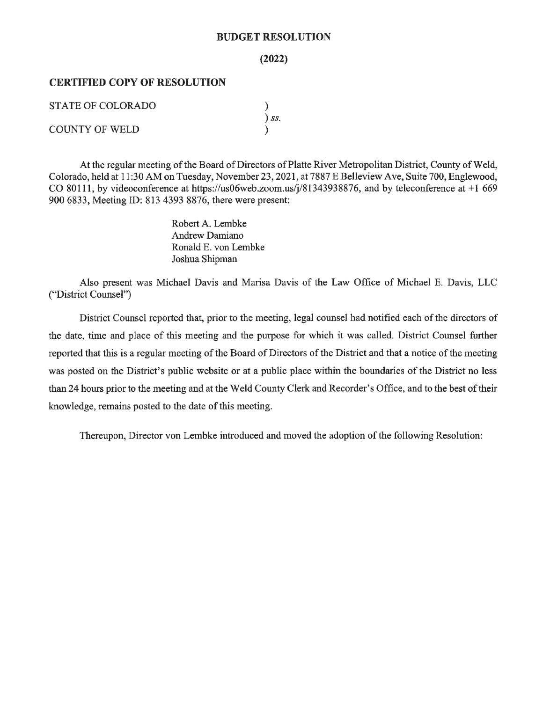#### **BUDGET RESOLUTION**

#### $(2022)$

### **CERTIFIED COPY OF RESOLUTION**

| STATE OF COLORADO     |            |
|-----------------------|------------|
|                       | $\sum$ SS. |
| <b>COUNTY OF WELD</b> |            |

At the regular meeting of the Board of Directors of Platte River Metropolitan District, County of Weld, Colorado, held at 11:30 AM on Tuesday, November 23, 2021, at 7887 E Belleview Ave, Suite 700, Englewood, CO 80111, by videoconference at https://us06web.zoom.us/j/81343938876, and by teleconference at +1 669 900 6833, Meeting ID: 813 4393 8876, there were present:

> Robert A. Lembke **Andrew Damiano** Ronald E. von Lembke Joshua Shipman

Also present was Michael Davis and Marisa Davis of the Law Office of Michael E. Davis, LLC ("District Counsel")

District Counsel reported that, prior to the meeting, legal counsel had notified each of the directors of the date, time and place of this meeting and the purpose for which it was called. District Counsel further reported that this is a regular meeting of the Board of Directors of the District and that a notice of the meeting was posted on the District's public website or at a public place within the boundaries of the District no less than 24 hours prior to the meeting and at the Weld County Clerk and Recorder's Office, and to the best of their knowledge, remains posted to the date of this meeting.

Thereupon, Director von Lembke introduced and moved the adoption of the following Resolution: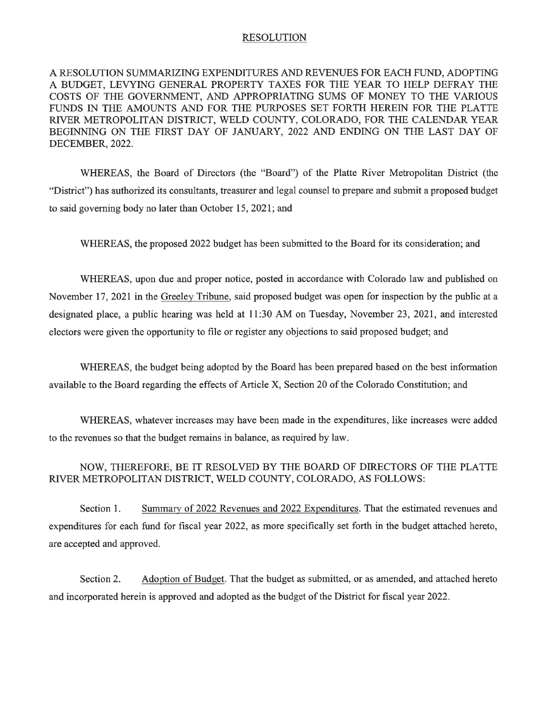### **RESOLUTION**

A RESOLUTION SUMMARIZING EXPENDITURES AND REVENUES FOR EACH FUND, ADOPTING A BUDGET, LEVYING GENERAL PROPERTY TAXES FOR THE YEAR TO HELP DEFRAY THE COSTS OF THE GOVERNMENT, AND APPROPRIATING SUMS OF MONEY TO THE VARIOUS FUNDS IN THE AMOUNTS AND FOR THE PURPOSES SET FORTH HEREIN FOR THE PLATTE RIVER METROPOLITAN DISTRICT, WELD COUNTY, COLORADO, FOR THE CALENDAR YEAR BEGINNING ON THE FIRST DAY OF JANUARY, 2022 AND ENDING ON THE LAST DAY OF DECEMBER, 2022.

WHEREAS, the Board of Directors (the "Board") of the Platte River Metropolitan District (the "District") has authorized its consultants, treasurer and legal counsel to prepare and submit a proposed budget to said governing body no later than October 15, 2021; and

WHEREAS, the proposed 2022 budget has been submitted to the Board for its consideration; and

WHEREAS, upon due and proper notice, posted in accordance with Colorado law and published on November 17, 2021 in the Greeley Tribune, said proposed budget was open for inspection by the public at a designated place, a public hearing was held at 11:30 AM on Tuesday, November 23, 2021, and interested electors were given the opportunity to file or register any objections to said proposed budget; and

WHEREAS, the budget being adopted by the Board has been prepared based on the best information available to the Board regarding the effects of Article X, Section 20 of the Colorado Constitution; and

WHEREAS, whatever increases may have been made in the expenditures, like increases were added to the revenues so that the budget remains in balance, as required by law.

### NOW, THEREFORE, BE IT RESOLVED BY THE BOARD OF DIRECTORS OF THE PLATTE RIVER METROPOLITAN DISTRICT, WELD COUNTY, COLORADO, AS FOLLOWS:

Summary of 2022 Revenues and 2022 Expenditures. That the estimated revenues and Section 1. expenditures for each fund for fiscal year 2022, as more specifically set forth in the budget attached hereto, are accepted and approved.

Section 2. Adoption of Budget. That the budget as submitted, or as amended, and attached hereto and incorporated herein is approved and adopted as the budget of the District for fiscal year 2022.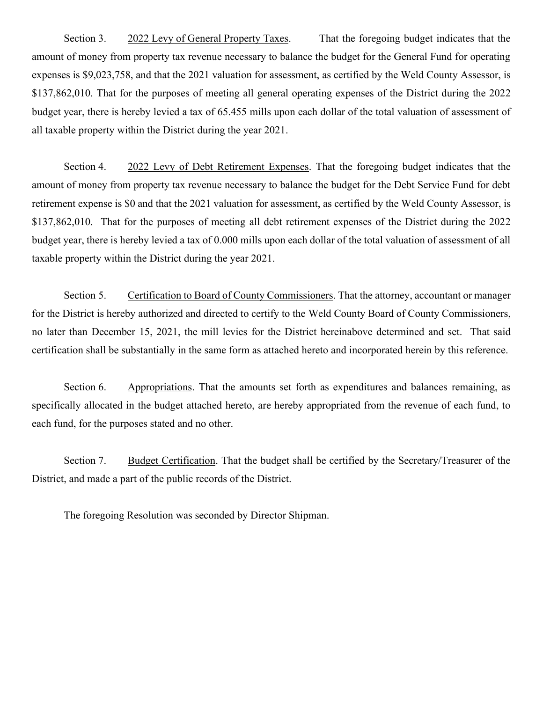Section 3. 2022 Levy of General Property Taxes. That the foregoing budget indicates that the amount of money from property tax revenue necessary to balance the budget for the General Fund for operating expenses is \$9,023,758, and that the 2021 valuation for assessment, as certified by the Weld County Assessor, is \$137,862,010. That for the purposes of meeting all general operating expenses of the District during the 2022 budget year, there is hereby levied a tax of 65.455 mills upon each dollar of the total valuation of assessment of all taxable property within the District during the year 2021.

Section 4. 2022 Levy of Debt Retirement Expenses. That the foregoing budget indicates that the amount of money from property tax revenue necessary to balance the budget for the Debt Service Fund for debt retirement expense is \$0 and that the 2021 valuation for assessment, as certified by the Weld County Assessor, is \$137,862,010. That for the purposes of meeting all debt retirement expenses of the District during the 2022 budget year, there is hereby levied a tax of 0.000 mills upon each dollar of the total valuation of assessment of all taxable property within the District during the year 2021.

Section 5. Certification to Board of County Commissioners. That the attorney, accountant or manager for the District is hereby authorized and directed to certify to the Weld County Board of County Commissioners, no later than December 15, 2021, the mill levies for the District hereinabove determined and set. That said certification shall be substantially in the same form as attached hereto and incorporated herein by this reference.

Section 6. Appropriations. That the amounts set forth as expenditures and balances remaining, as specifically allocated in the budget attached hereto, are hereby appropriated from the revenue of each fund, to each fund, for the purposes stated and no other.

Section 7. Budget Certification. That the budget shall be certified by the Secretary/Treasurer of the District, and made a part of the public records of the District.

The foregoing Resolution was seconded by Director Shipman.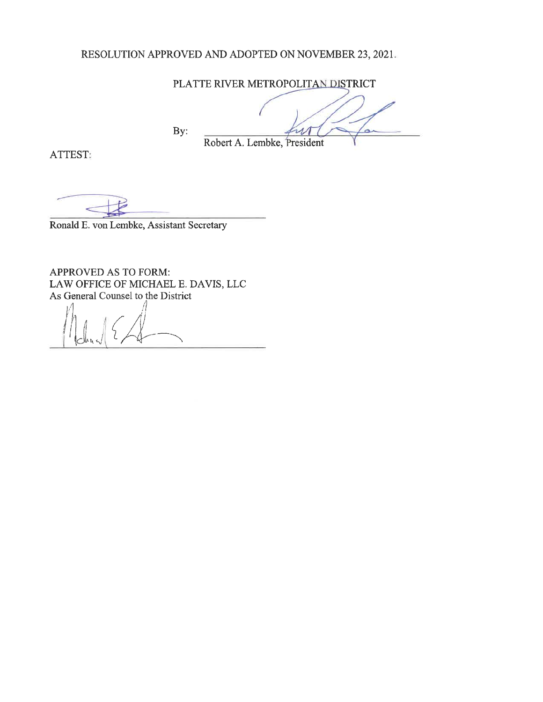## RESOLUTION APPROVED AND ADOPTED ON NOVEMBER 23, 2021.

PLATTE RIVER METROPOLITAN DISTRICT

By: ь Robert A. Lembke, President

ATTEST:

Ronald E. von Lembke, Assistant Secretary

APPROVED AS TO FORM: LAW OFFICE OF MICHAEL E. DAVIS, LLC As General Counsel to the District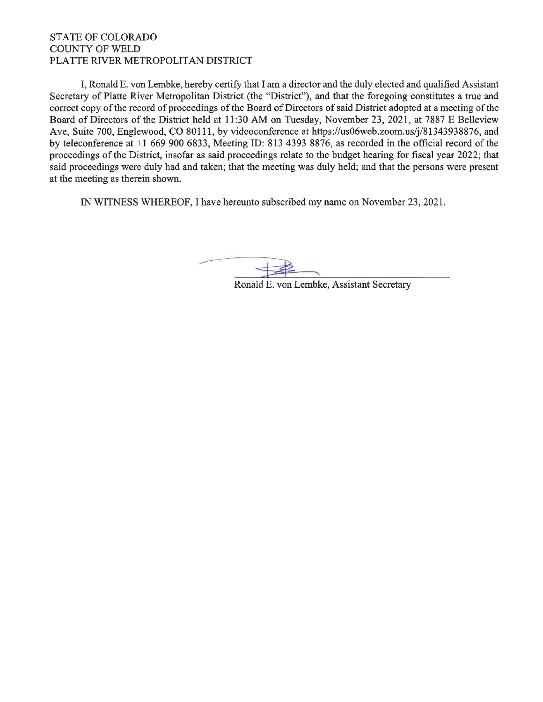### **STATE OF COLORADO COUNTY OF WELD** PLATTE RIVER METROPOLITAN DISTRICT

I, Ronald E, von Lembke, hereby certify that I am a director and the duly elected and qualified Assistant Secretary of Platte River Metropolitan District (the "District"), and that the foregoing constitutes a true and correct copy of the record of proceedings of the Board of Directors of said District adopted at a meeting of the Board of Directors of the District held at 11:30 AM on Tuesday, November 23, 2021, at 7887 E Belleview Ave, Suite 700, Englewood, CO 80111, by videoconference at https://us06web.zoom.us/j/81343938876, and by teleconference at  $+1$  669 900 6833, Meeting ID: 813 4393 8876, as recorded in the official record of the proceedings of the District, insofar as said proceedings relate to the budget hearing for fiscal year 2022; that said proceedings were duly had and taken; that the meeting was duly held; and that the persons were present at the meeting as therein shown.

IN WITNESS WHEREOF, I have hereunto subscribed my name on November 23, 2021.

Ronald E. von Lembke, Assistant Secretary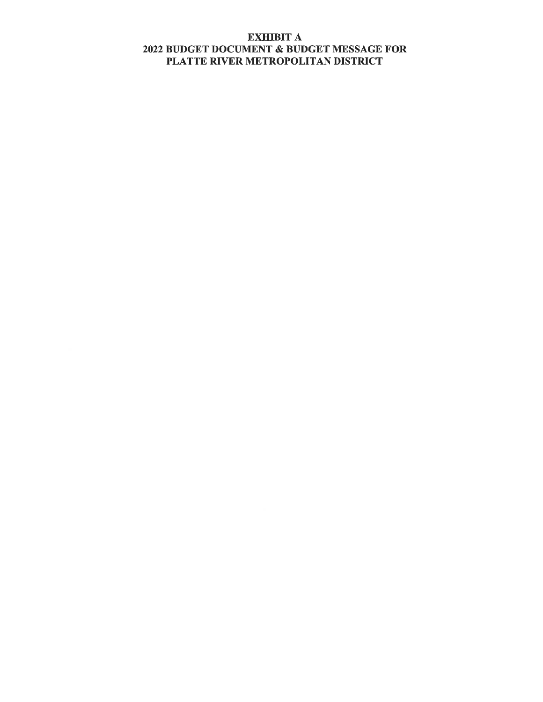# **EXHIBIT A** 2022 BUDGET DOCUMENT & BUDGET MESSAGE FOR PLATTE RIVER METROPOLITAN DISTRICT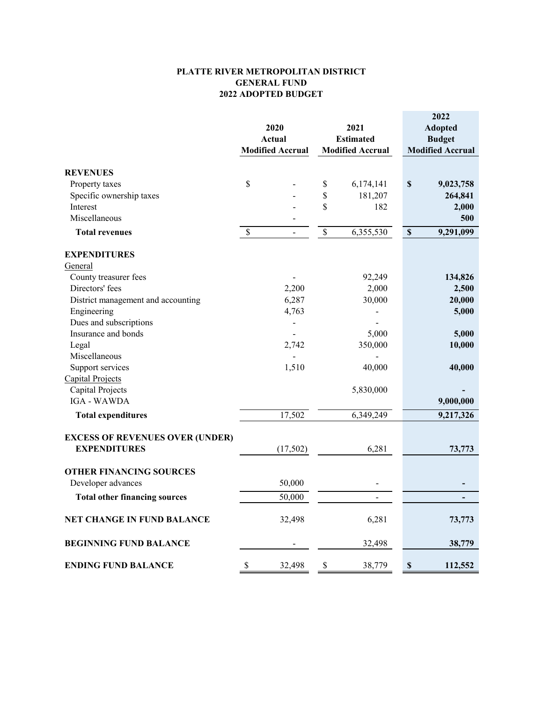#### **PLATTE RIVER METROPOLITAN DISTRICT GENERAL FUND 2022 ADOPTED BUDGET**

|                                        |               | 2020<br><b>Actual</b><br><b>Modified Accrual</b> |      | 2021<br><b>Estimated</b><br><b>Modified Accrual</b> | 2022<br><b>Adopted</b><br><b>Budget</b><br><b>Modified Accrual</b> |
|----------------------------------------|---------------|--------------------------------------------------|------|-----------------------------------------------------|--------------------------------------------------------------------|
|                                        |               |                                                  |      |                                                     |                                                                    |
| <b>REVENUES</b>                        |               |                                                  |      |                                                     |                                                                    |
| Property taxes                         | \$            |                                                  | \$   | 6,174,141                                           | $\mathbb S$<br>9,023,758                                           |
| Specific ownership taxes               |               |                                                  | \$   | 181,207                                             | 264,841                                                            |
| Interest                               |               |                                                  | \$   | 182                                                 | 2,000                                                              |
| Miscellaneous                          |               |                                                  |      |                                                     | 500                                                                |
| <b>Total revenues</b>                  | $\mathcal{S}$ | $\overline{\phantom{a}}$                         | $\$$ | 6,355,530                                           | $\mathbb S$<br>9,291,099                                           |
| <b>EXPENDITURES</b>                    |               |                                                  |      |                                                     |                                                                    |
| General                                |               |                                                  |      |                                                     |                                                                    |
| County treasurer fees                  |               |                                                  |      | 92,249                                              | 134,826                                                            |
| Directors' fees                        |               | 2,200                                            |      | 2,000                                               | 2,500                                                              |
| District management and accounting     |               | 6,287                                            |      | 30,000                                              | 20,000                                                             |
| Engineering                            |               | 4,763                                            |      |                                                     | 5,000                                                              |
| Dues and subscriptions                 |               | -                                                |      |                                                     |                                                                    |
| Insurance and bonds                    |               |                                                  |      | 5,000                                               | 5,000                                                              |
| Legal                                  |               | 2,742                                            |      | 350,000                                             | 10,000                                                             |
| Miscellaneous                          |               |                                                  |      |                                                     |                                                                    |
| Support services                       |               | 1,510                                            |      | 40,000                                              | 40,000                                                             |
| <b>Capital Projects</b>                |               |                                                  |      |                                                     |                                                                    |
| Capital Projects                       |               |                                                  |      | 5,830,000                                           |                                                                    |
| <b>IGA - WAWDA</b>                     |               |                                                  |      |                                                     | 9,000,000                                                          |
| <b>Total expenditures</b>              |               | 17,502                                           |      | 6,349,249                                           | 9,217,326                                                          |
| <b>EXCESS OF REVENUES OVER (UNDER)</b> |               |                                                  |      |                                                     |                                                                    |
| <b>EXPENDITURES</b>                    |               | (17,502)                                         |      | 6,281                                               | 73,773                                                             |
| <b>OTHER FINANCING SOURCES</b>         |               |                                                  |      |                                                     |                                                                    |
| Developer advances                     |               | 50,000                                           |      | $\overline{\phantom{0}}$                            |                                                                    |
| <b>Total other financing sources</b>   |               | 50,000                                           |      |                                                     |                                                                    |
| <b>NET CHANGE IN FUND BALANCE</b>      |               | 32,498                                           |      | 6,281                                               | 73,773                                                             |
| <b>BEGINNING FUND BALANCE</b>          |               |                                                  |      | 32,498                                              | 38,779                                                             |
| <b>ENDING FUND BALANCE</b>             | \$            | 32,498                                           | \$   | 38,779                                              | 112,552<br>$\boldsymbol{\mathsf{S}}$                               |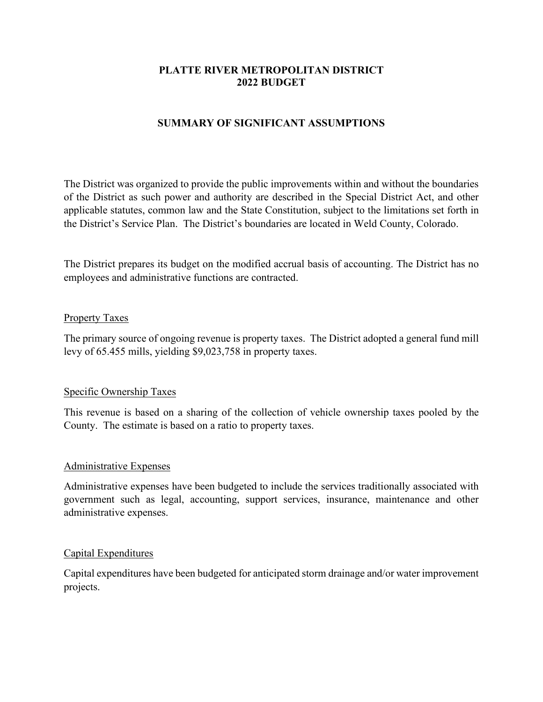# **PLATTE RIVER METROPOLITAN DISTRICT 2022 BUDGET**

# **SUMMARY OF SIGNIFICANT ASSUMPTIONS**

The District was organized to provide the public improvements within and without the boundaries of the District as such power and authority are described in the Special District Act, and other applicable statutes, common law and the State Constitution, subject to the limitations set forth in the District's Service Plan. The District's boundaries are located in Weld County, Colorado.

The District prepares its budget on the modified accrual basis of accounting. The District has no employees and administrative functions are contracted.

## Property Taxes

The primary source of ongoing revenue is property taxes. The District adopted a general fund mill levy of 65.455 mills, yielding \$9,023,758 in property taxes.

## Specific Ownership Taxes

This revenue is based on a sharing of the collection of vehicle ownership taxes pooled by the County. The estimate is based on a ratio to property taxes.

## Administrative Expenses

Administrative expenses have been budgeted to include the services traditionally associated with government such as legal, accounting, support services, insurance, maintenance and other administrative expenses.

## Capital Expenditures

Capital expenditures have been budgeted for anticipated storm drainage and/or water improvement projects.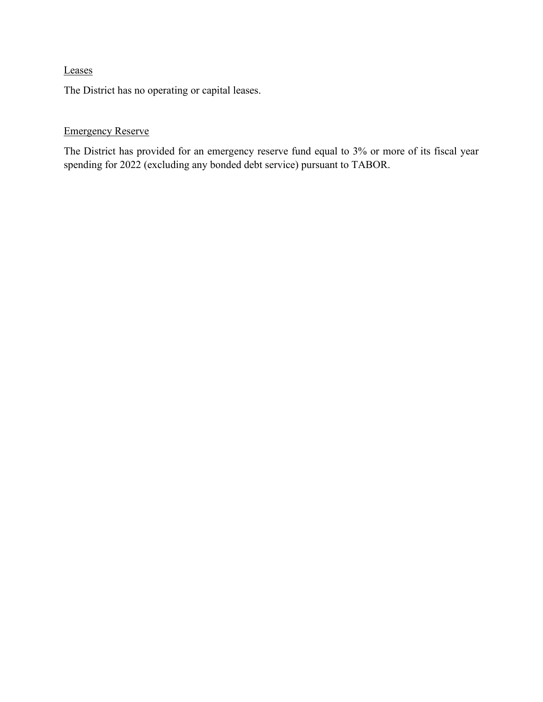# Leases

The District has no operating or capital leases.

# Emergency Reserve

The District has provided for an emergency reserve fund equal to 3% or more of its fiscal year spending for 2022 (excluding any bonded debt service) pursuant to TABOR.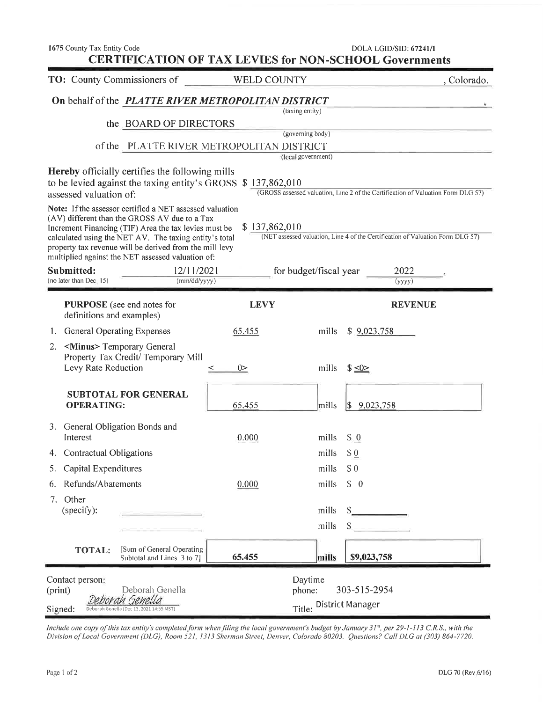| 1675 County Tax Entity Code<br><b>CERTIFICATION OF TAX LEVIES for NON-SCHOOL Governments</b>                                                                                                                                                                                                                                                 |                       |                                                                 | DOLA LGID/SID: 67241/1                                                           |
|----------------------------------------------------------------------------------------------------------------------------------------------------------------------------------------------------------------------------------------------------------------------------------------------------------------------------------------------|-----------------------|-----------------------------------------------------------------|----------------------------------------------------------------------------------|
| TO: County Commissioners of                                                                                                                                                                                                                                                                                                                  | <b>WELD COUNTY</b>    |                                                                 | , Colorado.                                                                      |
| On behalf of the PLATTE RIVER METROPOLITAN DISTRICT                                                                                                                                                                                                                                                                                          |                       |                                                                 |                                                                                  |
|                                                                                                                                                                                                                                                                                                                                              |                       | (taxing entity)                                                 |                                                                                  |
| the BOARD OF DIRECTORS                                                                                                                                                                                                                                                                                                                       |                       | (governing body)                                                |                                                                                  |
| of the PLATTE RIVER METROPOLITAN DISTRICT                                                                                                                                                                                                                                                                                                    |                       |                                                                 |                                                                                  |
| <b>Hereby</b> officially certifies the following mills<br>to be levied against the taxing entity's GROSS \$137,862,010<br>assessed valuation of:                                                                                                                                                                                             |                       | (local government)                                              | (GROSS assessed valuation, Line 2 of the Certification of Valuation Form DLG 57) |
| Note: If the assessor certified a NET assessed valuation<br>(AV) different than the GROSS AV due to a Tax<br>Increment Financing (TIF) Area the tax levies must be<br>calculated using the NET AV. The taxing entity's total<br>property tax revenue will be derived from the mill levy<br>multiplied against the NET assessed valuation of: | \$137,862,010         |                                                                 | (NET assessed valuation, Line 4 of the Certification of Valuation Form DLG 57)   |
| Submitted:<br>12/11/2021<br>(mm/dd/yyyy)<br>(no later than Dec. 15)                                                                                                                                                                                                                                                                          |                       | for budget/fiscal year                                          | 2022<br>(yyyy)                                                                   |
| <b>PURPOSE</b> (see end notes for<br>definitions and examples)<br>General Operating Expenses<br>1.                                                                                                                                                                                                                                           | <b>LEVY</b><br>65.455 | mills                                                           | <b>REVENUE</b><br>\$9,023,758                                                    |
| <minus> Temporary General<br/>2.<br/>Property Tax Credit/ Temporary Mill<br/>Levy Rate Reduction</minus>                                                                                                                                                                                                                                     | $0\geq$               | mills<br>$$ \leq 0 \ge$                                         |                                                                                  |
| <b>SUBTOTAL FOR GENERAL</b><br><b>OPERATING:</b>                                                                                                                                                                                                                                                                                             | 65.455                | mills                                                           | $\frac{9,023,758}{9,023,758}$                                                    |
| General Obligation Bonds and<br>3.<br>Interest                                                                                                                                                                                                                                                                                               | 0.000                 | mills<br>\$0                                                    |                                                                                  |
| Contractual Obligations<br>4.                                                                                                                                                                                                                                                                                                                |                       | mills<br>$\$\underline{0}$                                      |                                                                                  |
| Capital Expenditures<br>5.                                                                                                                                                                                                                                                                                                                   |                       | \$0<br>mills                                                    |                                                                                  |
| Refunds/Abatements<br>6.                                                                                                                                                                                                                                                                                                                     | 0.000                 | \$ 0<br>mills                                                   |                                                                                  |
| Other<br>7.<br>(specify):                                                                                                                                                                                                                                                                                                                    |                       | mills<br>mills                                                  |                                                                                  |
| [Sum of General Operating<br><b>TOTAL:</b><br>Subtotal and Lines 3 to 7]                                                                                                                                                                                                                                                                     | 65.455                | mills                                                           | \$9,023,758                                                                      |
| Contact person:<br>Deborah Genella<br>(print)<br>Genella<br>Deboran<br>Signed:<br>Deborah Genella (Dec 13, 2021 14:55 MST)                                                                                                                                                                                                                   |                       | Daytime<br>303-515-2954<br>phone:<br>District Manager<br>Title: |                                                                                  |

Include one copy of this tax entity's completed form when filing the local government's budget by January 31<sup>st</sup>, per 29-1-113 C.R.S., with the<br>Division of Local Government (DLG), Room 521, 1313 Sherman Street, Denver, Col